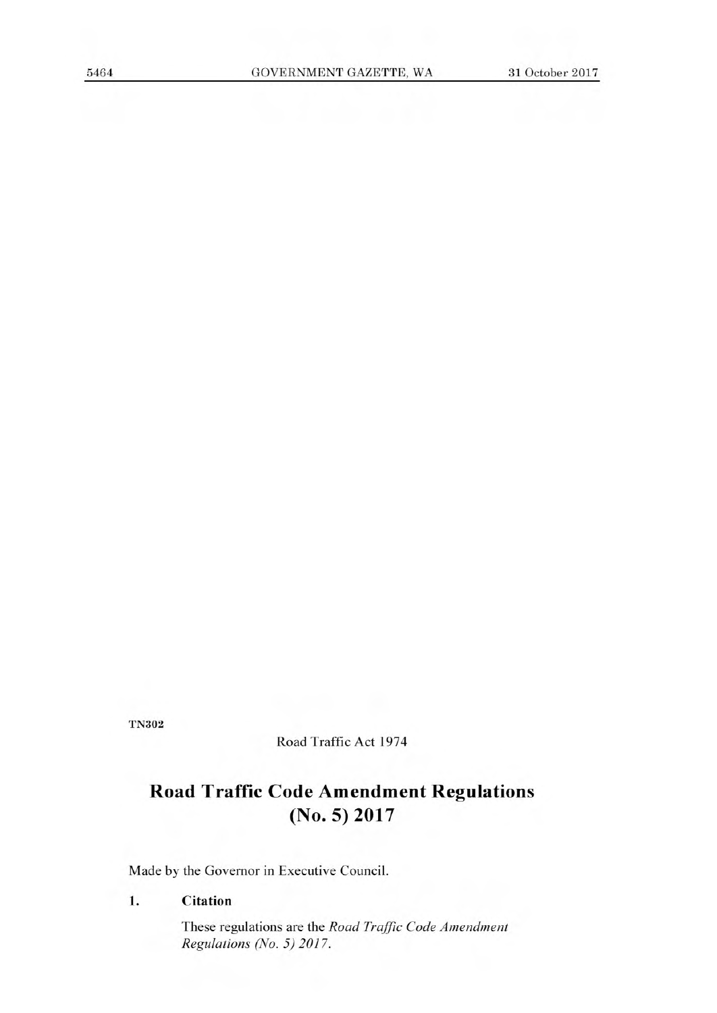**TN302** 

Road Traffic Act 1974

# **Road Traffic Code Amendment Regulations (No. 5) 2017**

Made by the Governor in Executive Council.

#### **1. Citation**

These regulations are the Road Traffic Code Amendment Regulations (No. 5) 2017.